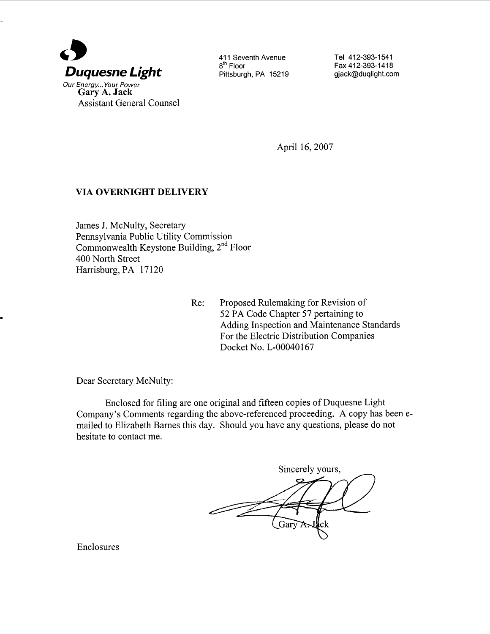

Gary A. Jack Assistant General Counsel

411 Seventh Avenue 8<sup>th</sup> Floor Pittsburgh, PA 15219 Tel 412-393-1541 Fax 412-393- 1418 gjack@duqlight.com

April 16, 2007

## VIA OVERNIGHT DELIVERY

James 1. McNulty, Secretary Pennsylvania Public Utility Commission Commonwealth Keystone Building, 2nd Floor 400 North Street Harrisburg, PA 17120

Re: Proposed Rulemaking for Revision of 52 PA Code Chapter 57 pertaining to Adding Inspection and Maintenance Standards For the Electric Distribution Companies Docket No. L-00040167

Dear Secretary McNulty:

Enclosed for filing are one original and fifteen copies of Duquesne Light Company's Comments regarding the above-referenced proceeding. A copy has been emailed to Elizabeth Barnes this day. Should you have any questions, please do not hesitate to contact me.

Sincerely yours, سسسير

Enclosures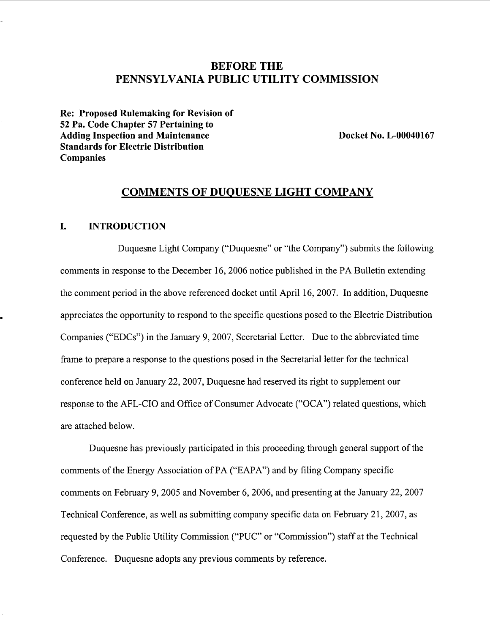# BEFORE THE PENNSYLVANIA PUBLIC UTILITY COMMISSION

Re: Proposed Rulemaking for Revision of 52 Pa. Code Chapter 57 Pertaining to Adding Inspection and Maintenance Standards for Electric Distribution Companies

Docket No. L-OOO40167

### COMMENTS OF DUQUESNE LIGHT COMPANY

#### I. INTRODUCTION

Duquesne Light Company ("Duquesne" or "the Company") submits the following comments in response to the December 16, 2006 notice published in the PA Bulletin extending the comment period in the above referenced docket until April 16, 2007. In addition, Duquesne appreciates the opportunity to respond to the specific questions posed to the Electric Distribution Companies ("EDCs") in the January 9, 2007, Secretarial Letter. Due to the abbreviated time frame to prepare a response to the questions posed in the Secretarial letter for the technical conference held on January 22, 2007, Duquesne had reserved its right to supplement our response to the AFL-CIO and Office of Consumer Advocate ("OCA") related questions, which are attached below.

Duquesne has previously participated in this proceeding through general support of the comments of the Energy Association of PA ("EAPA") and by filing Company specific comments on February 9, 2005 and November 6 2006, and presenting at the January 22 2007 Technical Conference, as well as submitting company specific data on February 21, 2007, as requested by the Public Utility Commission ("PUC" or "Commission") staff at the Technical Conference. Duquesne adopts any previous comments by reference.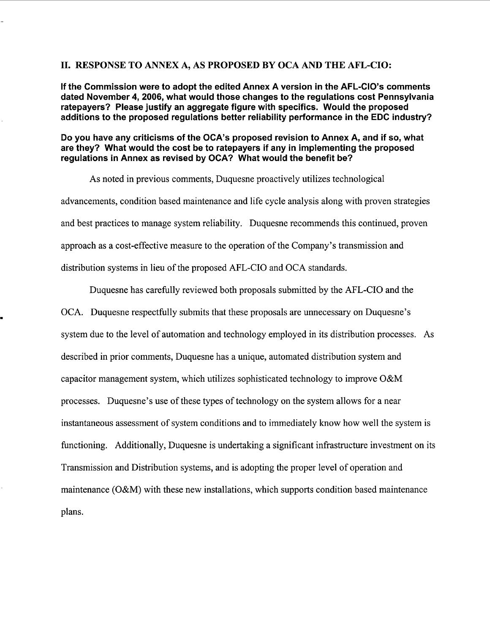### II. RESPONSE TO ANNEX A, AS PROPOSED BY OCA AND THE AFL-CIO:

If the Commission were to adopt the edited Annex A version in the AFL-CIO's comments dated November 4, 2006, what would those changes to the regulations cost Pennsylvania ratepayers? Please justify an aggregate figure with specifics. Would the proposed additions to the proposed regulations better reliability performance in the EDC industry?

Do you have any criticisms of the OCA's proposed revision to Annex A, and if so, what are they? What would the cost be to ratepayers if any in implementing the proposed regulations in Annex as revised by DCA? What would the benefit be?

As noted in previous comments, Duquesne proactively utilizes technological advancements, condition based maintenance and life cycle analysis along with proven strategies and best practices to manage system reliability. Duquesne recommends this continued, proven approach as a cost-effective measure to the operation of the Company's transmission and distribution systems in lieu of the proposed AFL-CIO and DCA standards.

Duquesne has carefully reviewed both proposals submitted by the AFL-CIO and the

OCA. Duquesne respectfully submits that these proposals are unnecessary on Duquesne system due to the level of automation and technology employed in its distribution processes. As described in prior comments, Duquesne has a unique, automated distribution system and capacitor management system, which utilizes sophisticated technology to improve O&M processes. Duquesne's use of these types of technology on the system allows for a near instantaneous assessment of system conditions and to immediately know how well the system is functioning. Additionally, Duquesne is undertaking a significant infrastructure investment on its Transmission and Distribution systems, and is adopting the proper level of operation and maintenance (O&M) with these new installations, which supports condition based maintenance plans.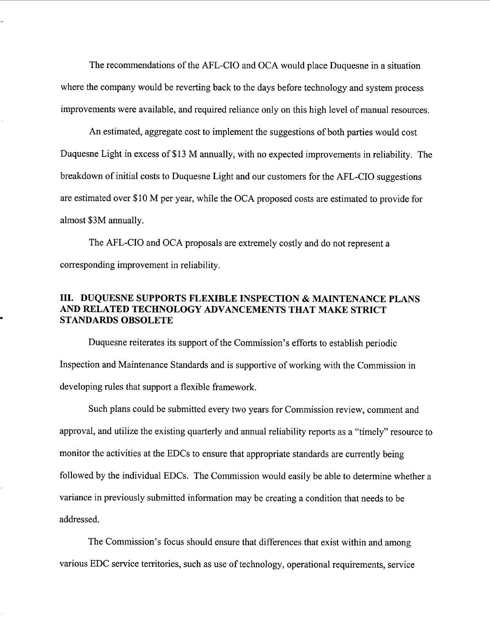The recommendations of the AFL-CIO and DCA would place Duquesne in a situation where the company would be reverting back to the days before technology and system process improvements were available, and required reliance only on this high level of manual resources.

An estimated, aggregate cost to implement the suggestions of both parties would cost Duquesne Light in excess of \$13 M annually, with no expected improvements in reliability. The breakdown of initial costs to Duquesne Light and our customers for the AFL-CIO suggestions are estimated over \$10 M per year, while the DCA proposed costs are estimated to provide for almost \$3M annually.

The AFL-CIO and DCA proposals are extremely costly and do not represent a corresponding improvement in reliability.

### III. DUQUESNE SUPPORTS FLEXIBLE INSPECTION & MAINTENANCE PLANS AND RELATED TECHNOLOGY ADVANCEMENTS THAT MAKE STRICT STANDARDS OBSOLETE

Duquesne reiterates its support of the Commission's efforts to establish periodic Inspection and Maintenance Standards and is supportive of working with the Commission in developing rules that support a flexible framework.

Such plans could be submitted every two years for Commission review, comment and approval, and utilize the existing quarterly and annual reliability reports as a "timely" resource to monitor the activities at the EDCs to ensure that appropriate standards are currently being followed by the individual EDCs. The Commission would easily be able to determine whether a variance in previously submitted information may be creating a condition that needs to be addressed.

The Commission's focus should ensure that differences that exist within and among various EDC service territories, such as use of technology, operational requirements, service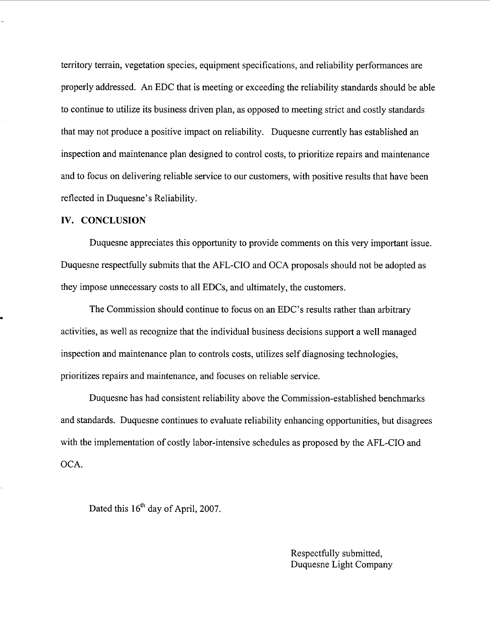territory terrain, vegetation species, equipment specifications, and reliability performances are properly addressed. An EDC that is meeting or exceeding the reliability standards should be able to continue to utilize its business driven plan, as opposed to meeting strict and costly standards that may not produce a positive impact on reliability. Duquesne currently has established an inspection and maintenance plan designed to control costs, to prioritize repairs and maintenance and to focus on delivering reliable service to our customers, with positive results that have been reflected in Duquesne's Reliability.

### IV. CONCLUSION

Duquesne appreciates this opportunity to provide comments on this very important issue. Duquesne respectfully submits that the AFL-CIO and OCA proposals should not be adopted as they impose unnecessary costs to all EDCs, and ultimately, the customers.

The Commission should continue to focus on an EDC's results rather than arbitrary activities, as well as recognize that the individual business decisions support a well managed inspection and maintenance plan to controls costs, utilizes self diagnosing technologies prioritizes repairs and maintenance, and focuses on reliable service.

Duquesne has had consistent reliability above the Commission-established benchmarks and standards. Duquesne continues to evaluate reliability enhancing opportunities, but disagrees with the implementation of costly labor-intensive schedules as proposed by the AFL-CIO and OCA.

Dated this  $16<sup>th</sup>$  day of April, 2007.

Respectfully submitted Duquesne Light Company